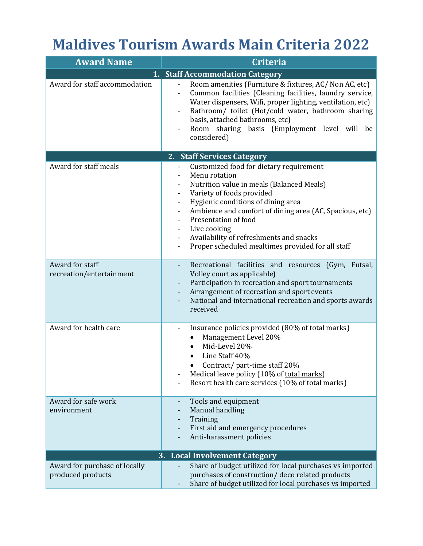## **Maldives Tourism Awards Main Criteria 2022**

| <b>Award Name</b>                                  | <b>Criteria</b>                                                                                                                                                                                                                                                                                                                                                                                         |
|----------------------------------------------------|---------------------------------------------------------------------------------------------------------------------------------------------------------------------------------------------------------------------------------------------------------------------------------------------------------------------------------------------------------------------------------------------------------|
|                                                    | 1. Staff Accommodation Category                                                                                                                                                                                                                                                                                                                                                                         |
| Award for staff accommodation                      | Room amenities (Furniture & fixtures, AC/ Non AC, etc)<br>Common facilities (Cleaning facilities, laundry service,<br>Water dispensers, Wifi, proper lighting, ventilation, etc)<br>Bathroom/ toilet (Hot/cold water, bathroom sharing<br>basis, attached bathrooms, etc)<br>Room sharing basis (Employment level will be<br>considered)                                                                |
|                                                    | 2. Staff Services Category                                                                                                                                                                                                                                                                                                                                                                              |
| Award for staff meals                              | Customized food for dietary requirement<br>Menu rotation<br>Nutrition value in meals (Balanced Meals)<br>Variety of foods provided<br>Hygienic conditions of dining area<br>Ambience and comfort of dining area (AC, Spacious, etc)<br>Presentation of food<br>Live cooking<br>Availability of refreshments and snacks<br>$\overline{\phantom{0}}$<br>Proper scheduled mealtimes provided for all staff |
| Award for staff<br>recreation/entertainment        | Recreational facilities and resources (Gym, Futsal,<br>Volley court as applicable)<br>Participation in recreation and sport tournaments<br>Arrangement of recreation and sport events<br>National and international recreation and sports awards<br>received                                                                                                                                            |
| Award for health care                              | Insurance policies provided (80% of total marks)<br>Management Level 20%<br>Mid-Level 20%<br>Line Staff 40%<br>Contract/ part-time staff 20%<br>Medical leave policy (10% of total marks)<br>Resort health care services (10% of total marks)                                                                                                                                                           |
| Award for safe work<br>environment                 | Tools and equipment<br>Manual handling<br>Training<br>First aid and emergency procedures<br>Anti-harassment policies                                                                                                                                                                                                                                                                                    |
| <b>Local Involvement Category</b><br>3.            |                                                                                                                                                                                                                                                                                                                                                                                                         |
| Award for purchase of locally<br>produced products | Share of budget utilized for local purchases vs imported<br>purchases of construction/ deco related products<br>Share of budget utilized for local purchases vs imported                                                                                                                                                                                                                                |